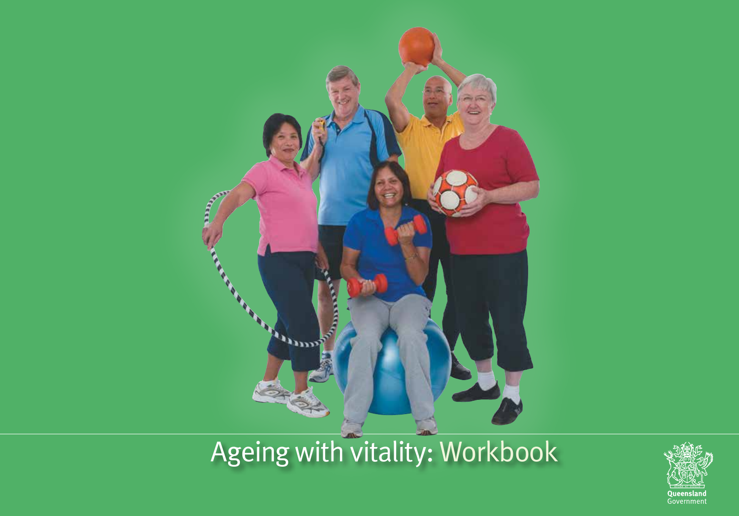

# Ageing with vitality: Workbook

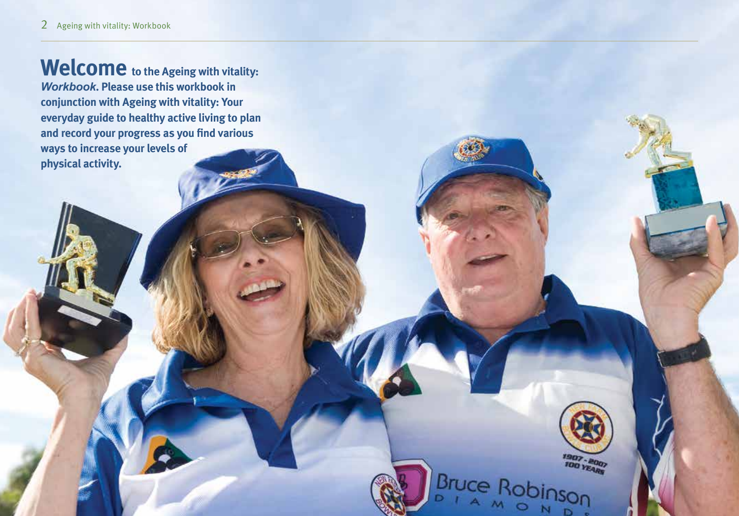Welcome to the Ageing with vitality: *Workbook***. Please use this workbook in conjunction with Ageing with vitality: Your everyday guide to healthy active living to plan and record your progress as you find various ways to increase your levels of physical activity.**

**1907 - 2007** 

Bruce Robinson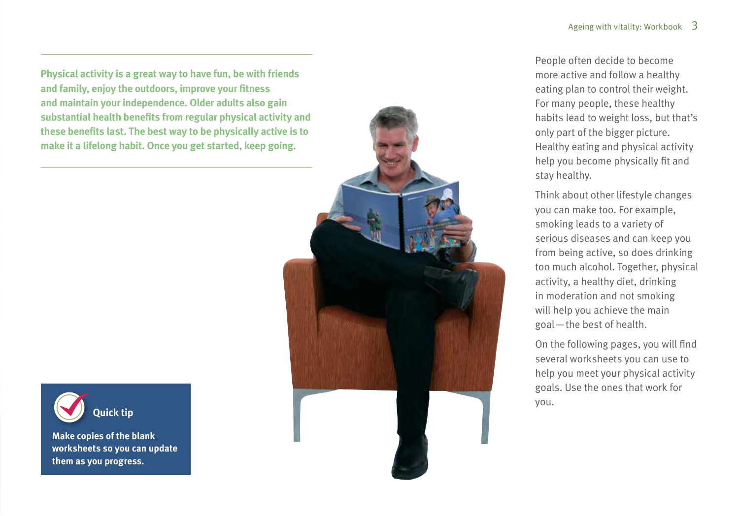**Physical activity is a great way to have fun, be with friends and family, enjoy the outdoors, improve your fitness and maintain your independence. Older adults also gain substantial health benefits from regular physical activity and these benefits last. The best way to be physically active is to make it a lifelong habit. Once you get started, keep going.**



**Make copies of the blank worksheets so you can update them as you progress.**



People often decide to become more active and follow a healthy eating plan to control their weight. For many people, these healthy habits lead to weight loss, but that's only part of the bigger picture. Healthy eating and physical activity help you become physically fit and stay healthy.

Think about other lifestyle changes you can make too. For example, smoking leads to a variety of serious diseases and can keep you from being active, so does drinking too much alcohol. Together, physical activity, a healthy diet, drinking in moderation and not smoking will help you achieve the main goal—the best of health.

On the following pages, you will find several worksheets you can use to help you meet your physical activity goals. Use the ones that work for you.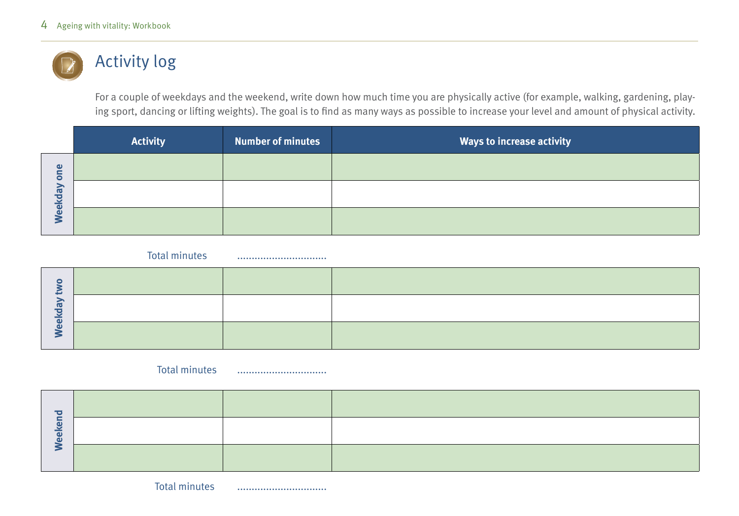### Activity log

For a couple of weekdays and the weekend, write down how much time you are physically active (for example, walking, gardening, playing sport, dancing or lifting weights). The goal is to find as many ways as possible to increase your level and amount of physical activity.

|                           | <b>Activity</b> | <b>Number of minutes</b> | <b>Ways to increase activity</b> |
|---------------------------|-----------------|--------------------------|----------------------------------|
| $\mathbf \omega$<br>ā     |                 |                          |                                  |
| kday<br>$\bullet$         |                 |                          |                                  |
| $\tilde{\mathbf{\Theta}}$ |                 |                          |                                  |

Total minutes ...............................

### Total minutes ...............................

**Weekend**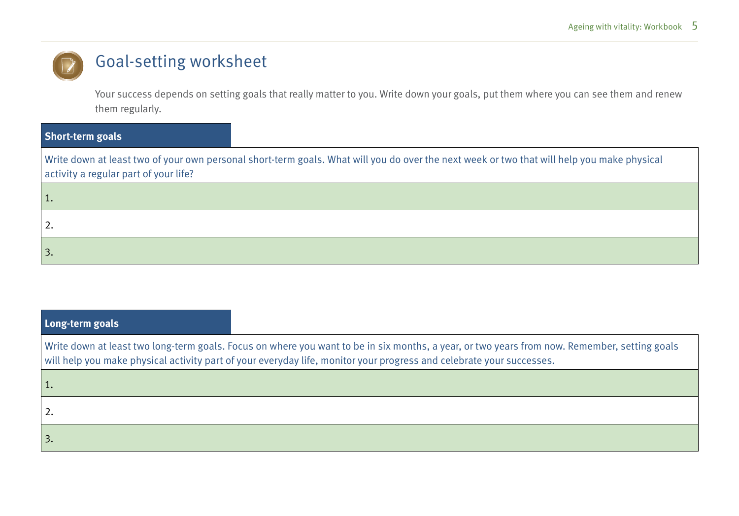### Goal-setting worksheet

Your success depends on setting goals that really matter to you. Write down your goals, put them where you can see them and renew them regularly.

| <b>Short-term goals</b>                                                                                                                                                             |
|-------------------------------------------------------------------------------------------------------------------------------------------------------------------------------------|
| Write down at least two of your own personal short-term goals. What will you do over the next week or two that will help you make physical<br>activity a regular part of your life? |
|                                                                                                                                                                                     |
| 2.                                                                                                                                                                                  |
|                                                                                                                                                                                     |

| Long-term goals |                                                                                                                                                                                                                                                                      |
|-----------------|----------------------------------------------------------------------------------------------------------------------------------------------------------------------------------------------------------------------------------------------------------------------|
|                 | Write down at least two long-term goals. Focus on where you want to be in six months, a year, or two years from now. Remember, setting goals<br>will help you make physical activity part of your everyday life, monitor your progress and celebrate your successes. |
| 1.              |                                                                                                                                                                                                                                                                      |
|                 |                                                                                                                                                                                                                                                                      |
|                 |                                                                                                                                                                                                                                                                      |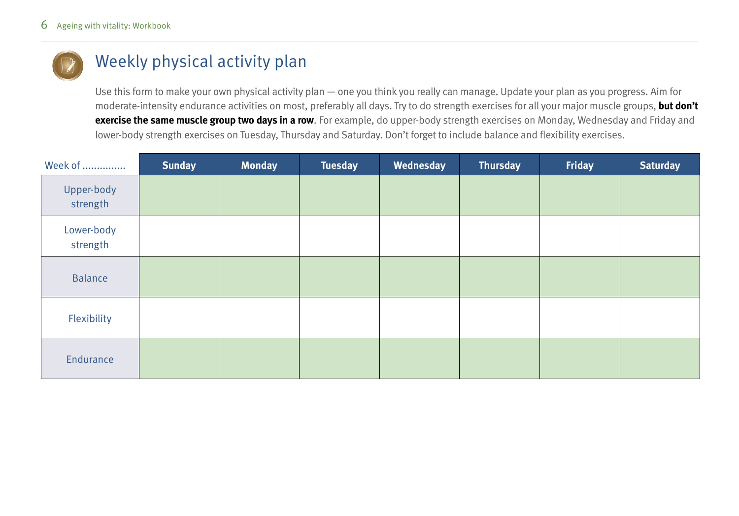

### Weekly physical activity plan

Use this form to make your own physical activity plan — one you think you really can manage. Update your plan as you progress. Aim for moderate-intensity endurance activities on most, preferably all days. Try to do strength exercises for all your major muscle groups, **but don't exercise the same muscle group two days in a row**. For example, do upper-body strength exercises on Monday, Wednesday and Friday and lower-body strength exercises on Tuesday, Thursday and Saturday. Don't forget to include balance and flexibility exercises.

| Week of                | <b>Sunday</b> | <b>Monday</b> | <b>Tuesday</b> | Wednesday | <b>Thursday</b> | Friday | <b>Saturday</b> |
|------------------------|---------------|---------------|----------------|-----------|-----------------|--------|-----------------|
| Upper-body<br>strength |               |               |                |           |                 |        |                 |
| Lower-body<br>strength |               |               |                |           |                 |        |                 |
| <b>Balance</b>         |               |               |                |           |                 |        |                 |
| Flexibility            |               |               |                |           |                 |        |                 |
| Endurance              |               |               |                |           |                 |        |                 |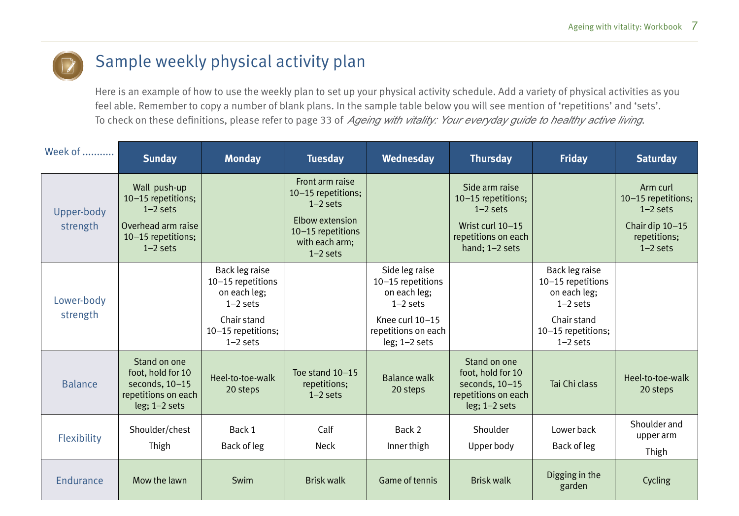

### Sample weekly physical activity plan

Here is an example of how to use the weekly plan to set up your physical activity schedule. Add a variety of physical activities as you feel able. Remember to copy a number of blank plans. In the sample table below you will see mention of 'repetitions' and 'sets'. To check on these definitions, please refer to page 33 of *Ageing with vitality: Your everyday guide to healthy active living*.

| Week of                | <b>Sunday</b>                                                                                              | <b>Monday</b>                                                                                                        | <b>Tuesday</b>                                                                                                              | Wednesday                                                                                                                      | <b>Thursday</b>                                                                                                   | <b>Friday</b>                                                                                                        | <b>Saturday</b>                                                                               |
|------------------------|------------------------------------------------------------------------------------------------------------|----------------------------------------------------------------------------------------------------------------------|-----------------------------------------------------------------------------------------------------------------------------|--------------------------------------------------------------------------------------------------------------------------------|-------------------------------------------------------------------------------------------------------------------|----------------------------------------------------------------------------------------------------------------------|-----------------------------------------------------------------------------------------------|
| Upper-body<br>strength | Wall push-up<br>10-15 repetitions;<br>$1-2$ sets<br>Overhead arm raise<br>10-15 repetitions;<br>$1-2$ sets |                                                                                                                      | Front arm raise<br>10-15 repetitions;<br>$1-2$ sets<br>Elbow extension<br>10-15 repetitions<br>with each arm;<br>$1-2$ sets |                                                                                                                                | Side arm raise<br>10-15 repetitions;<br>$1-2$ sets<br>Wrist curl 10-15<br>repetitions on each<br>hand; $1-2$ sets |                                                                                                                      | Arm curl<br>10-15 repetitions;<br>$1-2$ sets<br>Chair dip 10-15<br>repetitions;<br>$1-2$ sets |
| Lower-body<br>strength |                                                                                                            | Back leg raise<br>10-15 repetitions<br>on each leg;<br>$1-2$ sets<br>Chair stand<br>10-15 repetitions;<br>$1-2$ sets |                                                                                                                             | Side leg raise<br>10-15 repetitions<br>on each leg;<br>$1-2$ sets<br>Knee curl 10-15<br>repetitions on each<br>$leg; 1-2 sets$ |                                                                                                                   | Back leg raise<br>10-15 repetitions<br>on each leg;<br>$1-2$ sets<br>Chair stand<br>10-15 repetitions;<br>$1-2$ sets |                                                                                               |
| <b>Balance</b>         | Stand on one<br>foot, hold for 10<br>seconds, 10-15<br>repetitions on each<br>$leg; 1-2 sets$              | Heel-to-toe-walk<br>20 steps                                                                                         | Toe stand 10-15<br>repetitions;<br>$1-2$ sets                                                                               | <b>Balance walk</b><br>20 steps                                                                                                | Stand on one<br>foot, hold for 10<br>seconds, 10-15<br>repetitions on each<br>$leg; 1-2 sets$                     | Tai Chi class                                                                                                        | Heel-to-toe-walk<br>20 steps                                                                  |
| Flexibility            | Shoulder/chest<br>Thigh                                                                                    | Back 1<br>Back of leg                                                                                                | Calf<br>Neck                                                                                                                | Back 2<br>Inner thigh                                                                                                          | Shoulder<br>Upper body                                                                                            | Lower back<br>Back of leg                                                                                            | Shoulder and<br>upper arm<br>Thigh                                                            |
| <b>Endurance</b>       | Mow the lawn                                                                                               | Swim                                                                                                                 | <b>Brisk walk</b>                                                                                                           | <b>Game of tennis</b>                                                                                                          | <b>Brisk walk</b>                                                                                                 | Digging in the<br>garden                                                                                             | Cycling                                                                                       |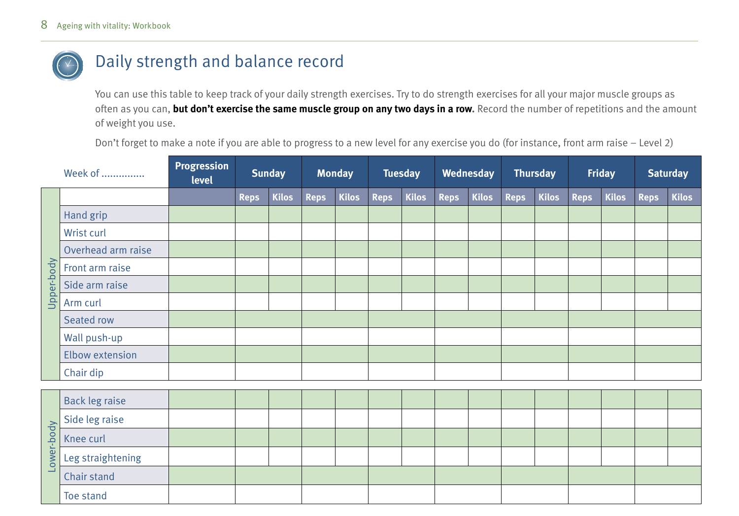

### Daily strength and balance record

You can use this table to keep track of your daily strength exercises. Try to do strength exercises for all your major muscle groups as often as you can, **but don't exercise the same muscle group on any two days in a row.** Record the number of repetitions and the amount of weight you use.

Don't forget to make a note if you are able to progress to a new level for any exercise you do (for instance, front arm raise – Level 2)

|            | Week of            | Progression<br>level |             | <b>Sunday</b> |             | <b>Monday</b> |             | <b>Tuesday</b> |             | Wednesday    |             | <b>Thursday</b> |             | <b>Friday</b> |             | <b>Saturday</b> |
|------------|--------------------|----------------------|-------------|---------------|-------------|---------------|-------------|----------------|-------------|--------------|-------------|-----------------|-------------|---------------|-------------|-----------------|
|            |                    |                      | <b>Reps</b> | Kilos         | <b>Reps</b> | <b>Kilos</b>  | <b>Reps</b> | Kilos          | <b>Reps</b> | <b>Kilos</b> | <b>Reps</b> | <b>Kilos</b>    | <b>Reps</b> | Kilos         | <b>Reps</b> | <b>Kilos</b>    |
|            | Hand grip          |                      |             |               |             |               |             |                |             |              |             |                 |             |               |             |                 |
|            | Wrist curl         |                      |             |               |             |               |             |                |             |              |             |                 |             |               |             |                 |
|            | Overhead arm raise |                      |             |               |             |               |             |                |             |              |             |                 |             |               |             |                 |
| Upper-body | Front arm raise    |                      |             |               |             |               |             |                |             |              |             |                 |             |               |             |                 |
|            | Side arm raise     |                      |             |               |             |               |             |                |             |              |             |                 |             |               |             |                 |
|            | Arm curl           |                      |             |               |             |               |             |                |             |              |             |                 |             |               |             |                 |
|            | Seated row         |                      |             |               |             |               |             |                |             |              |             |                 |             |               |             |                 |
|            | Wall push-up       |                      |             |               |             |               |             |                |             |              |             |                 |             |               |             |                 |
|            | Elbow extension    |                      |             |               |             |               |             |                |             |              |             |                 |             |               |             |                 |
|            | Chair dip          |                      |             |               |             |               |             |                |             |              |             |                 |             |               |             |                 |

|                          | Back leg raise    |  |  |  |  |  |  |  |  |
|--------------------------|-------------------|--|--|--|--|--|--|--|--|
|                          |                   |  |  |  |  |  |  |  |  |
|                          | Side leg raise    |  |  |  |  |  |  |  |  |
| $\overline{p}$<br>$\geq$ | Leg straightening |  |  |  |  |  |  |  |  |
|                          | Chair stand       |  |  |  |  |  |  |  |  |
|                          | Toe stand         |  |  |  |  |  |  |  |  |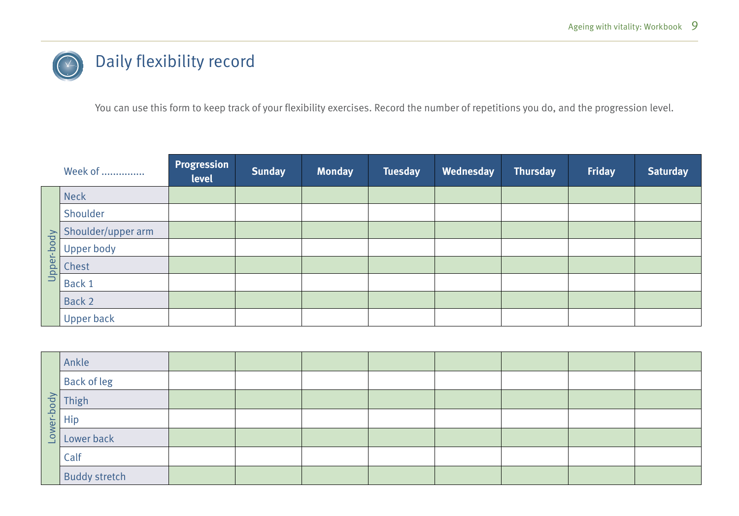## Daily flexibility record

You can use this form to keep track of your flexibility exercises. Record the number of repetitions you do, and the progression level.

|            | Week of            | Progression<br>level | <b>Sunday</b> | Monday | <b>Tuesday</b> | Wednesday | <b>Thursday</b> | <b>Friday</b> | <b>Saturday</b> |
|------------|--------------------|----------------------|---------------|--------|----------------|-----------|-----------------|---------------|-----------------|
|            | <b>Neck</b>        |                      |               |        |                |           |                 |               |                 |
|            | Shoulder           |                      |               |        |                |           |                 |               |                 |
|            | Shoulder/upper arm |                      |               |        |                |           |                 |               |                 |
| Upper-body | Upper body         |                      |               |        |                |           |                 |               |                 |
|            | Chest              |                      |               |        |                |           |                 |               |                 |
|            | Back 1             |                      |               |        |                |           |                 |               |                 |
|            | Back 2             |                      |               |        |                |           |                 |               |                 |
|            | <b>Upper back</b>  |                      |               |        |                |           |                 |               |                 |

|          | Ankle                |  |  |  |  |
|----------|----------------------|--|--|--|--|
|          | <b>Back of leg</b>   |  |  |  |  |
|          | Thigh                |  |  |  |  |
| rer-body | Hip                  |  |  |  |  |
| Low      | Lower back           |  |  |  |  |
|          | Calf                 |  |  |  |  |
|          | <b>Buddy stretch</b> |  |  |  |  |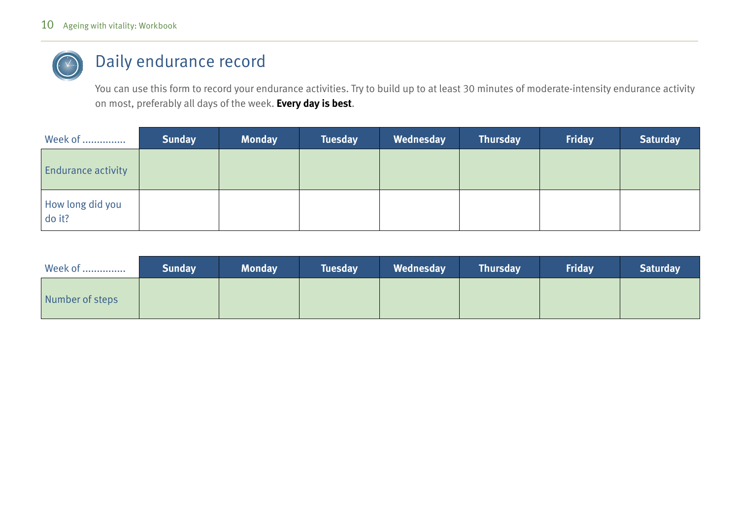

### Daily endurance record

You can use this form to record your endurance activities. Try to build up to at least 30 minutes of moderate-intensity endurance activity on most, preferably all days of the week. **Every day is best**.

| Week of                    | <b>Sunday</b> | <b>Monday</b> | <b>Tuesday</b> | Wednesday | <b>Thursday</b> | Friday | <b>Saturday</b> |
|----------------------------|---------------|---------------|----------------|-----------|-----------------|--------|-----------------|
| <b>Endurance activity</b>  |               |               |                |           |                 |        |                 |
| How long did you<br>do it? |               |               |                |           |                 |        |                 |

| Week of         | <b>Sunday</b> | <b>Monday</b> | <b>Tuesday</b> | Wednesday | <b>Thursday</b> | Friday | <b>Saturday</b> |
|-----------------|---------------|---------------|----------------|-----------|-----------------|--------|-----------------|
| Number of steps |               |               |                |           |                 |        |                 |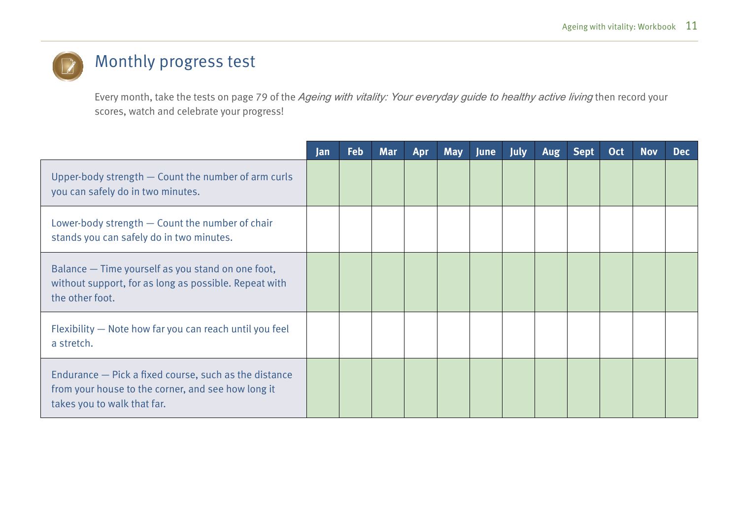### Monthly progress test

Every month, take the tests on page 79 of the *Ageing with vitality: Your everyday guide to healthy active living* then record your scores, watch and celebrate your progress!

|                                                                                                                                            | Jan | <b>Feb</b> | <b>Mar</b> | Apr | <b>May</b> | <b>June</b> | <b>July</b> | Aug | <b>Sept</b> | <b>Oct</b> | <b>Nov</b> | <b>Dec</b> |
|--------------------------------------------------------------------------------------------------------------------------------------------|-----|------------|------------|-----|------------|-------------|-------------|-----|-------------|------------|------------|------------|
| Upper-body strength - Count the number of arm curls<br>you can safely do in two minutes.                                                   |     |            |            |     |            |             |             |     |             |            |            |            |
| Lower-body strength - Count the number of chair<br>stands you can safely do in two minutes.                                                |     |            |            |     |            |             |             |     |             |            |            |            |
| Balance - Time yourself as you stand on one foot,<br>without support, for as long as possible. Repeat with<br>the other foot.              |     |            |            |     |            |             |             |     |             |            |            |            |
| Flexibility - Note how far you can reach until you feel<br>a stretch.                                                                      |     |            |            |     |            |             |             |     |             |            |            |            |
| Endurance – Pick a fixed course, such as the distance<br>from your house to the corner, and see how long it<br>takes you to walk that far. |     |            |            |     |            |             |             |     |             |            |            |            |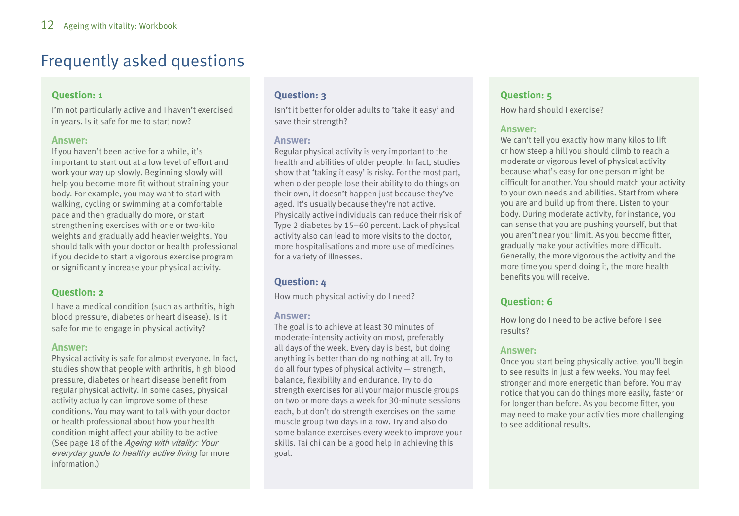### Frequently asked questions

#### **Question: 1**

I'm not particularly active and I haven't exercised in years. Is it safe for me to start now?

#### **Answer:**

If you haven't been active for a while, it's important to start out at a low level of effort and work your way up slowly. Beginning slowly will help you become more fit without straining your body. For example, you may want to start with walking, cycling or swimming at a comfortable pace and then gradually do more, or start strengthening exercises with one or two-kilo weights and gradually add heavier weights. You should talk with your doctor or health professional if you decide to start a vigorous exercise program or significantly increase your physical activity.

#### **Question: 2**

I have a medical condition (such as arthritis, high blood pressure, diabetes or heart disease). Is it safe for me to engage in physical activity?

#### **Answer:**

Physical activity is safe for almost everyone. In fact, studies show that people with arthritis, high blood pressure, diabetes or heart disease benefit from regular physical activity. In some cases, physical activity actually can improve some of these conditions. You may want to talk with your doctor or health professional about how your health condition might affect your ability to be active (See page 18 of the *Ageing with vitality: Your everyday guide to healthy active living* for more information.)

#### **Question: 3**

Isn't it better for older adults to 'take it easy' and save their strength?

#### **Answer:**

Regular physical activity is very important to the health and abilities of older people. In fact, studies show that 'taking it easy' is risky. For the most part, when older people lose their ability to do things on their own, it doesn't happen just because they've aged. It's usually because they're not active. Physically active individuals can reduce their risk of Type 2 diabetes by 15–60 percent. Lack of physical activity also can lead to more visits to the doctor, more hospitalisations and more use of medicines for a variety of illnesses.

#### **Question: 4**

How much physical activity do I need?

#### **Answer:**

The goal is to achieve at least 30 minutes of moderate-intensity activity on most, preferably all days of the week. Every day is best, but doing anything is better than doing nothing at all. Try to do all four types of physical activity — strength, balance, flexibility and endurance. Try to do strength exercises for all your major muscle groups on two or more days a week for 30-minute sessions each, but don't do strength exercises on the same muscle group two days in a row. Try and also do some balance exercises every week to improve your skills. Tai chi can be a good help in achieving this goal.

#### **Question: 5**

How hard should I exercise?

#### **Answer:**

We can't tell you exactly how many kilos to lift or how steep a hill you should climb to reach a moderate or vigorous level of physical activity because what's easy for one person might be difficult for another. You should match your activity to your own needs and abilities. Start from where you are and build up from there. Listen to your body. During moderate activity, for instance, you can sense that you are pushing yourself, but that you aren't near your limit. As you become fitter, gradually make your activities more difficult. Generally, the more vigorous the activity and the more time you spend doing it, the more health benefits you will receive.

#### **Question: 6**

How long do I need to be active before I see results?

#### **Answer:**

Once you start being physically active, you'll begin to see results in just a few weeks. You may feel stronger and more energetic than before. You may notice that you can do things more easily, faster or for longer than before. As you become fitter, you may need to make your activities more challenging to see additional results.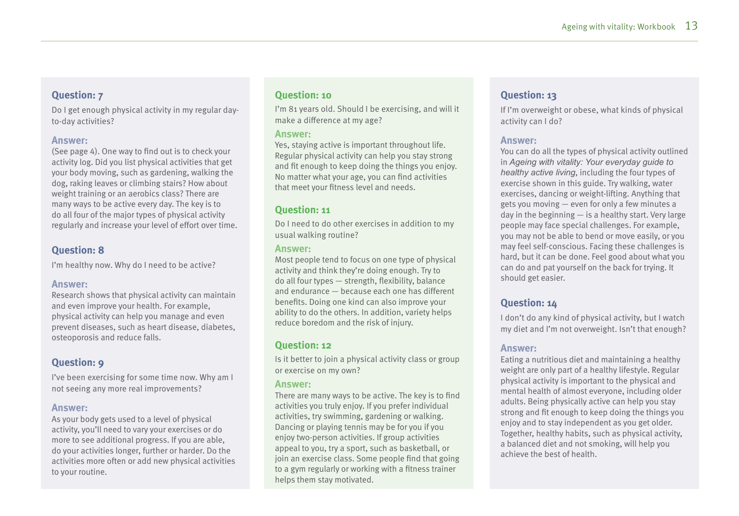#### **Question: 7**

Do I get enough physical activity in my regular dayto-day activities?

#### **Answer:**

(See page 4). One way to find out is to check your activity log. Did you list physical activities that get your body moving, such as gardening, walking the dog, raking leaves or climbing stairs? How about weight training or an aerobics class? There are many ways to be active every day. The key is to do all four of the major types of physical activity regularly and increase your level of effort over time.

#### **Question: 8**

I'm healthy now. Why do I need to be active?

#### **Answer:**

Research shows that physical activity can maintain and even improve your health. For example, physical activity can help you manage and even prevent diseases, such as heart disease, diabetes, osteoporosis and reduce falls.

#### **Question: 9**

I've been exercising for some time now. Why am I not seeing any more real improvements?

#### **Answer:**

As your body gets used to a level of physical activity, you'll need to vary your exercises or do more to see additional progress. If you are able, do your activities longer, further or harder. Do the activities more often or add new physical activities to your routine.

#### **Question: 10**

I'm 81 years old. Should I be exercising, and will it make a difference at my age?

#### **Answer:**

Yes, staying active is important throughout life. Regular physical activity can help you stay strong and fit enough to keep doing the things you enjoy. No matter what your age, you can find activities that meet your fitness level and needs.

#### **Question: 11**

Do I need to do other exercises in addition to my usual walking routine?

#### **Answer:**

Most people tend to focus on one type of physical activity and think they're doing enough. Try to do all four types — strength, flexibility, balance and endurance — because each one has different benefits. Doing one kind can also improve your ability to do the others. In addition, variety helps reduce boredom and the risk of injury.

#### **Question: 12**

Is it better to join a physical activity class or group or exercise on my own?

#### **Answer:**

There are many ways to be active. The key is to find activities you truly enjoy. If you prefer individual activities, try swimming, gardening or walking. Dancing or playing tennis may be for you if you enjoy two-person activities. If group activities appeal to you, try a sport, such as basketball, or join an exercise class. Some people find that going to a gym regularly or working with a fitness trainer helps them stay motivated.

#### **Question: 13**

If I'm overweight or obese, what kinds of physical activity can I do?

#### **Answer:**

You can do all the types of physical activity outlined in *Ageing with vitality: Your everyday guide to healthy active living*, including the four types of exercise shown in this guide. Try walking, water exercises, dancing or weight-lifting. Anything that gets you moving — even for only a few minutes a day in the beginning — is a healthy start. Very large people may face special challenges. For example, you may not be able to bend or move easily, or you may feel self-conscious. Facing these challenges is hard, but it can be done. Feel good about what you can do and pat yourself on the back for trying. It should get easier.

#### **Question: 14**

I don't do any kind of physical activity, but I watch my diet and I'm not overweight. Isn't that enough?

#### **Answer:**

Eating a nutritious diet and maintaining a healthy weight are only part of a healthy lifestyle. Regular physical activity is important to the physical and mental health of almost everyone, including older adults. Being physically active can help you stay strong and fit enough to keep doing the things you enjoy and to stay independent as you get older. Together, healthy habits, such as physical activity, a balanced diet and not smoking, will help you achieve the best of health.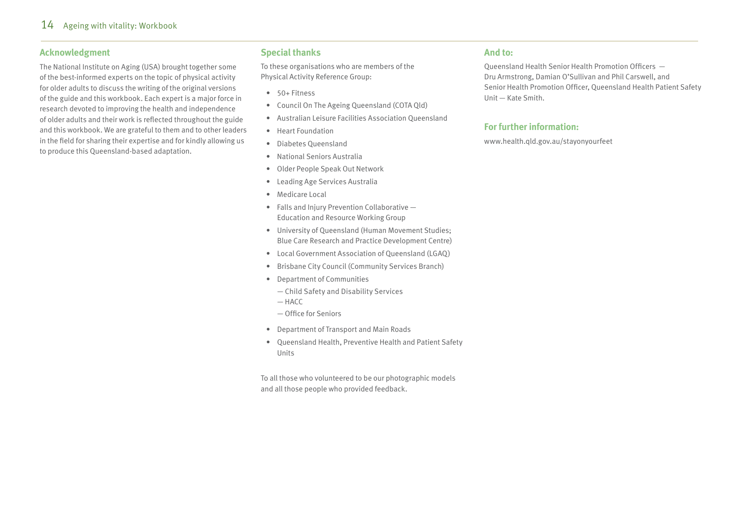#### **Acknowledgment**

The National Institute on Aging (USA) brought together some of the best-informed experts on the topic of physical activity for older adults to discuss the writing of the original versions of the guide and this workbook. Each expert is a major force in research devoted to improving the health and independence of older adults and their work is reflected throughout the guide and this workbook. We are grateful to them and to other leaders in the field for sharing their expertise and for kindly allowing us to produce this Queensland-based adaptation.

#### **Special thanks**

To these organisations who are members of the Physical Activity Reference Group:

- 50+ Fitness
- Council On The Ageing Queensland (COTA Qld)
- Australian Leisure Facilities Association Queensland
- Heart Foundation
- Diabetes Queensland
- National Seniors Australia
- Older People Speak Out Network
- Leading Age Services Australia
- Medicare Local
- Falls and Injury Prevention Collaborative Education and Resource Working Group
- University of Queensland (Human Movement Studies; Blue Care Research and Practice Development Centre)
- Local Government Association of Queensland (LGAQ)
- Brisbane City Council (Community Services Branch)
- Department of Communities
	- Child Safety and Disability Services
	- HACC
	- Office for Seniors
- Department of Transport and Main Roads
- Queensland Health, Preventive Health and Patient Safety Units

To all those who volunteered to be our photographic models and all those people who provided feedback.

#### **And to:**

Queensland Health Senior Health Promotion Officers — Dru Armstrong, Damian O'Sullivan and Phil Carswell, and Senior Health Promotion Officer, Queensland Health Patient Safety Unit — Kate Smith.

#### **For further information:**

www.health.qld.gov.au/stayonyourfeet